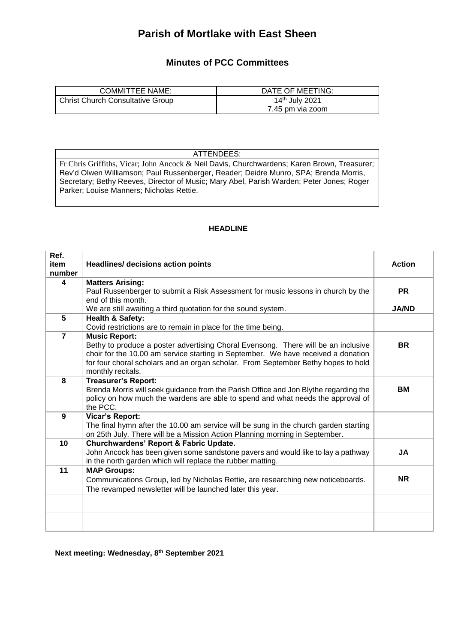## **Parish of Mortlake with East Sheen**

## **Minutes of PCC Committees**

| <b>COMMITTEE NAME:</b>           | DATE OF MEETING:           |
|----------------------------------|----------------------------|
| Christ Church Consultative Group | 14 <sup>th</sup> July 2021 |
|                                  | 7.45 pm via zoom           |

ATTENDEES:

Fr Chris Griffiths, Vicar; John Ancock & Neil Davis, Churchwardens; Karen Brown, Treasurer; Rev'd Olwen Williamson; Paul Russenberger, Reader; Deidre Munro, SPA; Brenda Morris, Secretary; Bethy Reeves, Director of Music; Mary Abel, Parish Warden; Peter Jones; Roger Parker; Louise Manners; Nicholas Rettie.

## **HEADLINE**

| Ref.           |                                                                                                                                                                                                                                                                                                          |               |
|----------------|----------------------------------------------------------------------------------------------------------------------------------------------------------------------------------------------------------------------------------------------------------------------------------------------------------|---------------|
| item<br>number | <b>Headlines/ decisions action points</b>                                                                                                                                                                                                                                                                | <b>Action</b> |
| 4              | <b>Matters Arising:</b>                                                                                                                                                                                                                                                                                  |               |
|                | Paul Russenberger to submit a Risk Assessment for music lessons in church by the                                                                                                                                                                                                                         | <b>PR</b>     |
|                | end of this month.                                                                                                                                                                                                                                                                                       |               |
|                | We are still awaiting a third quotation for the sound system.                                                                                                                                                                                                                                            | <b>JA/ND</b>  |
| 5              | <b>Health &amp; Safety:</b>                                                                                                                                                                                                                                                                              |               |
|                | Covid restrictions are to remain in place for the time being.                                                                                                                                                                                                                                            |               |
| $\overline{7}$ | <b>Music Report:</b><br>Bethy to produce a poster advertising Choral Evensong. There will be an inclusive<br>choir for the 10.00 am service starting in September. We have received a donation<br>for four choral scholars and an organ scholar. From September Bethy hopes to hold<br>monthly recitals. | <b>BR</b>     |
| 8              | <b>Treasurer's Report:</b><br>Brenda Morris will seek guidance from the Parish Office and Jon Blythe regarding the<br>policy on how much the wardens are able to spend and what needs the approval of<br>the PCC.                                                                                        | ВM            |
| 9              | Vicar's Report:<br>The final hymn after the 10.00 am service will be sung in the church garden starting<br>on 25th July. There will be a Mission Action Planning morning in September.                                                                                                                   |               |
| 10             | Churchwardens' Report & Fabric Update.<br>John Ancock has been given some sandstone pavers and would like to lay a pathway<br>in the north garden which will replace the rubber matting.                                                                                                                 | <b>JA</b>     |
| 11             | <b>MAP Groups:</b>                                                                                                                                                                                                                                                                                       |               |
|                | Communications Group, led by Nicholas Rettie, are researching new noticeboards.                                                                                                                                                                                                                          | <b>NR</b>     |
|                | The revamped newsletter will be launched later this year.                                                                                                                                                                                                                                                |               |
|                |                                                                                                                                                                                                                                                                                                          |               |
|                |                                                                                                                                                                                                                                                                                                          |               |

**Next meeting: Wednesday, 8th September 2021**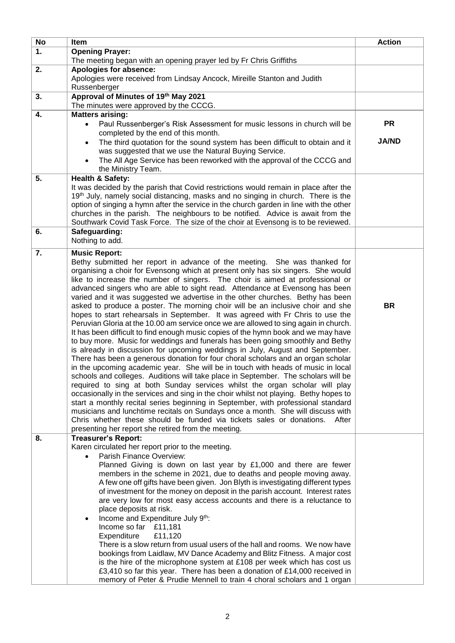| No | Item                                                                                                                                                                       | <b>Action</b> |
|----|----------------------------------------------------------------------------------------------------------------------------------------------------------------------------|---------------|
| 1. | <b>Opening Prayer:</b>                                                                                                                                                     |               |
|    | The meeting began with an opening prayer led by Fr Chris Griffiths                                                                                                         |               |
| 2. | Apologies for absence:                                                                                                                                                     |               |
|    | Apologies were received from Lindsay Ancock, Mireille Stanton and Judith<br>Russenberger                                                                                   |               |
| 3. | Approval of Minutes of 19th May 2021                                                                                                                                       |               |
|    | The minutes were approved by the CCCG.                                                                                                                                     |               |
| 4. | <b>Matters arising:</b>                                                                                                                                                    |               |
|    | Paul Russenberger's Risk Assessment for music lessons in church will be<br>$\bullet$                                                                                       | <b>PR</b>     |
|    | completed by the end of this month.<br>The third quotation for the sound system has been difficult to obtain and it<br>$\bullet$                                           | <b>JA/ND</b>  |
|    | was suggested that we use the Natural Buying Service.                                                                                                                      |               |
|    | The All Age Service has been reworked with the approval of the CCCG and<br>$\bullet$                                                                                       |               |
|    | the Ministry Team.                                                                                                                                                         |               |
| 5. | <b>Health &amp; Safety:</b>                                                                                                                                                |               |
|    | It was decided by the parish that Covid restrictions would remain in place after the                                                                                       |               |
|    | 19 <sup>th</sup> July, namely social distancing, masks and no singing in church. There is the                                                                              |               |
|    | option of singing a hymn after the service in the church garden in line with the other                                                                                     |               |
|    | churches in the parish. The neighbours to be notified. Advice is await from the                                                                                            |               |
| 6. | Southwark Covid Task Force. The size of the choir at Evensong is to be reviewed.<br>Safeguarding:                                                                          |               |
|    | Nothing to add.                                                                                                                                                            |               |
| 7. | <b>Music Report:</b>                                                                                                                                                       |               |
|    | Bethy submitted her report in advance of the meeting. She was thanked for                                                                                                  |               |
|    | organising a choir for Evensong which at present only has six singers. She would                                                                                           |               |
|    | like to increase the number of singers. The choir is aimed at professional or                                                                                              |               |
|    | advanced singers who are able to sight read. Attendance at Evensong has been                                                                                               |               |
|    | varied and it was suggested we advertise in the other churches. Bethy has been                                                                                             |               |
|    | asked to produce a poster. The morning choir will be an inclusive choir and she                                                                                            | <b>BR</b>     |
|    | hopes to start rehearsals in September. It was agreed with Fr Chris to use the                                                                                             |               |
|    | Peruvian Gloria at the 10.00 am service once we are allowed to sing again in church.<br>It has been difficult to find enough music copies of the hymn book and we may have |               |
|    | to buy more. Music for weddings and funerals has been going smoothly and Bethy                                                                                             |               |
|    | is already in discussion for upcoming weddings in July, August and September.                                                                                              |               |
|    | There has been a generous donation for four choral scholars and an organ scholar                                                                                           |               |
|    | in the upcoming academic year. She will be in touch with heads of music in local                                                                                           |               |
|    | schools and colleges. Auditions will take place in September. The scholars will be                                                                                         |               |
|    | required to sing at both Sunday services whilst the organ scholar will play                                                                                                |               |
|    | occasionally in the services and sing in the choir whilst not playing. Bethy hopes to<br>start a monthly recital series beginning in September, with professional standard |               |
|    | musicians and lunchtime recitals on Sundays once a month. She will discuss with                                                                                            |               |
|    | Chris whether these should be funded via tickets sales or donations.<br>After                                                                                              |               |
|    | presenting her report she retired from the meeting.                                                                                                                        |               |
| 8. | <b>Treasurer's Report:</b>                                                                                                                                                 |               |
|    | Karen circulated her report prior to the meeting.                                                                                                                          |               |
|    | Parish Finance Overview:                                                                                                                                                   |               |
|    | Planned Giving is down on last year by £1,000 and there are fewer                                                                                                          |               |
|    | members in the scheme in 2021, due to deaths and people moving away.<br>A few one off gifts have been given. Jon Blyth is investigating different types                    |               |
|    | of investment for the money on deposit in the parish account. Interest rates                                                                                               |               |
|    | are very low for most easy access accounts and there is a reluctance to                                                                                                    |               |
|    | place deposits at risk.                                                                                                                                                    |               |
|    | Income and Expenditure July 9th:<br>$\bullet$                                                                                                                              |               |
|    | Income so far £11,181                                                                                                                                                      |               |
|    | Expenditure<br>£11,120                                                                                                                                                     |               |
|    | There is a slow return from usual users of the hall and rooms. We now have                                                                                                 |               |
|    | bookings from Laidlaw, MV Dance Academy and Blitz Fitness. A major cost<br>is the hire of the microphone system at £108 per week which has cost us                         |               |
|    | £3,410 so far this year. There has been a donation of £14,000 received in                                                                                                  |               |
|    | memory of Peter & Prudie Mennell to train 4 choral scholars and 1 organ                                                                                                    |               |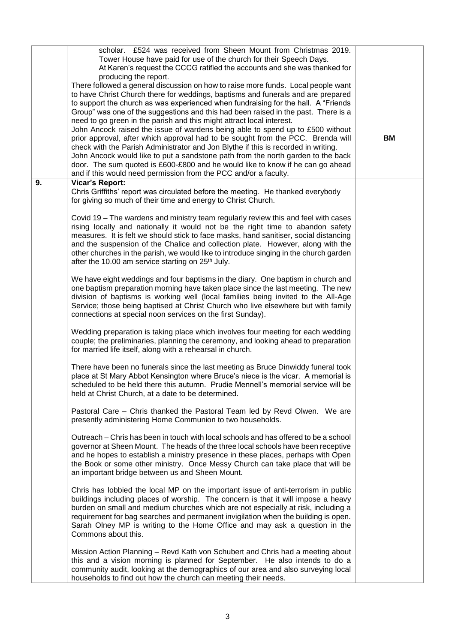| At Karen's request the CCCG ratified the accounts and she was thanked for<br>producing the report.<br>There followed a general discussion on how to raise more funds. Local people want<br>to have Christ Church there for weddings, baptisms and funerals and are prepared<br>to support the church as was experienced when fundraising for the hall. A "Friends"<br>Group" was one of the suggestions and this had been raised in the past. There is a<br>need to go green in the parish and this might attract local interest.<br>John Ancock raised the issue of wardens being able to spend up to £500 without<br>prior approval, after which approval had to be sought from the PCC. Brenda will<br><b>BM</b><br>check with the Parish Administrator and Jon Blythe if this is recorded in writing.<br>John Ancock would like to put a sandstone path from the north garden to the back<br>door. The sum quoted is £600-£800 and he would like to know if he can go ahead<br>and if this would need permission from the PCC and/or a faculty.<br>9.<br><b>Vicar's Report:</b><br>Chris Griffiths' report was circulated before the meeting. He thanked everybody<br>for giving so much of their time and energy to Christ Church.<br>Covid 19 – The wardens and ministry team regularly review this and feel with cases<br>rising locally and nationally it would not be the right time to abandon safety<br>measures. It is felt we should stick to face masks, hand sanitiser, social distancing<br>and the suspension of the Chalice and collection plate. However, along with the<br>other churches in the parish, we would like to introduce singing in the church garden<br>after the 10.00 am service starting on 25 <sup>th</sup> July.<br>We have eight weddings and four baptisms in the diary. One baptism in church and<br>one baptism preparation morning have taken place since the last meeting. The new<br>division of baptisms is working well (local families being invited to the All-Age<br>Service; those being baptised at Christ Church who live elsewhere but with family<br>connections at special noon services on the first Sunday).<br>Wedding preparation is taking place which involves four meeting for each wedding<br>couple; the preliminaries, planning the ceremony, and looking ahead to preparation<br>for married life itself, along with a rehearsal in church.<br>There have been no funerals since the last meeting as Bruce Dinwiddy funeral took<br>place at St Mary Abbot Kensington where Bruce's niece is the vicar. A memorial is<br>scheduled to be held there this autumn. Prudie Mennell's memorial service will be<br>held at Christ Church, at a date to be determined.<br>Pastoral Care - Chris thanked the Pastoral Team led by Revd Olwen. We are<br>presently administering Home Communion to two households.<br>Outreach – Chris has been in touch with local schools and has offered to be a school<br>governor at Sheen Mount. The heads of the three local schools have been receptive<br>and he hopes to establish a ministry presence in these places, perhaps with Open<br>the Book or some other ministry. Once Messy Church can take place that will be<br>an important bridge between us and Sheen Mount.<br>Chris has lobbied the local MP on the important issue of anti-terrorism in public<br>buildings including places of worship. The concern is that it will impose a heavy<br>burden on small and medium churches which are not especially at risk, including a<br>requirement for bag searches and permanent invigilation when the building is open.<br>Sarah Olney MP is writing to the Home Office and may ask a question in the<br>Commons about this.<br>Mission Action Planning - Revd Kath von Schubert and Chris had a meeting about<br>this and a vision morning is planned for September. He also intends to do a<br>community audit, looking at the demographics of our area and also surveying local<br>households to find out how the church can meeting their needs. | scholar. £524 was received from Sheen Mount from Christmas 2019.   |  |
|----------------------------------------------------------------------------------------------------------------------------------------------------------------------------------------------------------------------------------------------------------------------------------------------------------------------------------------------------------------------------------------------------------------------------------------------------------------------------------------------------------------------------------------------------------------------------------------------------------------------------------------------------------------------------------------------------------------------------------------------------------------------------------------------------------------------------------------------------------------------------------------------------------------------------------------------------------------------------------------------------------------------------------------------------------------------------------------------------------------------------------------------------------------------------------------------------------------------------------------------------------------------------------------------------------------------------------------------------------------------------------------------------------------------------------------------------------------------------------------------------------------------------------------------------------------------------------------------------------------------------------------------------------------------------------------------------------------------------------------------------------------------------------------------------------------------------------------------------------------------------------------------------------------------------------------------------------------------------------------------------------------------------------------------------------------------------------------------------------------------------------------------------------------------------------------------------------------------------------------------------------------------------------------------------------------------------------------------------------------------------------------------------------------------------------------------------------------------------------------------------------------------------------------------------------------------------------------------------------------------------------------------------------------------------------------------------------------------------------------------------------------------------------------------------------------------------------------------------------------------------------------------------------------------------------------------------------------------------------------------------------------------------------------------------------------------------------------------------------------------------------------------------------------------------------------------------------------------------------------------------------------------------------------------------------------------------------------------------------------------------------------------------------------------------------------------------------------------------------------------------------------------------------------------------------------------------------------------------------------------------------------------------------------------------------------------------------------------------------------------------------------------------------------------------------------------------------------------------------------------------------------------------------------------------------------------------------------------------------------------------------------------------------------------------------------------|--------------------------------------------------------------------|--|
|                                                                                                                                                                                                                                                                                                                                                                                                                                                                                                                                                                                                                                                                                                                                                                                                                                                                                                                                                                                                                                                                                                                                                                                                                                                                                                                                                                                                                                                                                                                                                                                                                                                                                                                                                                                                                                                                                                                                                                                                                                                                                                                                                                                                                                                                                                                                                                                                                                                                                                                                                                                                                                                                                                                                                                                                                                                                                                                                                                                                                                                                                                                                                                                                                                                                                                                                                                                                                                                                                                                                                                                                                                                                                                                                                                                                                                                                                                                                                                                                                                                                      | Tower House have paid for use of the church for their Speech Days. |  |
|                                                                                                                                                                                                                                                                                                                                                                                                                                                                                                                                                                                                                                                                                                                                                                                                                                                                                                                                                                                                                                                                                                                                                                                                                                                                                                                                                                                                                                                                                                                                                                                                                                                                                                                                                                                                                                                                                                                                                                                                                                                                                                                                                                                                                                                                                                                                                                                                                                                                                                                                                                                                                                                                                                                                                                                                                                                                                                                                                                                                                                                                                                                                                                                                                                                                                                                                                                                                                                                                                                                                                                                                                                                                                                                                                                                                                                                                                                                                                                                                                                                                      |                                                                    |  |
|                                                                                                                                                                                                                                                                                                                                                                                                                                                                                                                                                                                                                                                                                                                                                                                                                                                                                                                                                                                                                                                                                                                                                                                                                                                                                                                                                                                                                                                                                                                                                                                                                                                                                                                                                                                                                                                                                                                                                                                                                                                                                                                                                                                                                                                                                                                                                                                                                                                                                                                                                                                                                                                                                                                                                                                                                                                                                                                                                                                                                                                                                                                                                                                                                                                                                                                                                                                                                                                                                                                                                                                                                                                                                                                                                                                                                                                                                                                                                                                                                                                                      |                                                                    |  |
|                                                                                                                                                                                                                                                                                                                                                                                                                                                                                                                                                                                                                                                                                                                                                                                                                                                                                                                                                                                                                                                                                                                                                                                                                                                                                                                                                                                                                                                                                                                                                                                                                                                                                                                                                                                                                                                                                                                                                                                                                                                                                                                                                                                                                                                                                                                                                                                                                                                                                                                                                                                                                                                                                                                                                                                                                                                                                                                                                                                                                                                                                                                                                                                                                                                                                                                                                                                                                                                                                                                                                                                                                                                                                                                                                                                                                                                                                                                                                                                                                                                                      |                                                                    |  |
|                                                                                                                                                                                                                                                                                                                                                                                                                                                                                                                                                                                                                                                                                                                                                                                                                                                                                                                                                                                                                                                                                                                                                                                                                                                                                                                                                                                                                                                                                                                                                                                                                                                                                                                                                                                                                                                                                                                                                                                                                                                                                                                                                                                                                                                                                                                                                                                                                                                                                                                                                                                                                                                                                                                                                                                                                                                                                                                                                                                                                                                                                                                                                                                                                                                                                                                                                                                                                                                                                                                                                                                                                                                                                                                                                                                                                                                                                                                                                                                                                                                                      |                                                                    |  |
|                                                                                                                                                                                                                                                                                                                                                                                                                                                                                                                                                                                                                                                                                                                                                                                                                                                                                                                                                                                                                                                                                                                                                                                                                                                                                                                                                                                                                                                                                                                                                                                                                                                                                                                                                                                                                                                                                                                                                                                                                                                                                                                                                                                                                                                                                                                                                                                                                                                                                                                                                                                                                                                                                                                                                                                                                                                                                                                                                                                                                                                                                                                                                                                                                                                                                                                                                                                                                                                                                                                                                                                                                                                                                                                                                                                                                                                                                                                                                                                                                                                                      |                                                                    |  |
|                                                                                                                                                                                                                                                                                                                                                                                                                                                                                                                                                                                                                                                                                                                                                                                                                                                                                                                                                                                                                                                                                                                                                                                                                                                                                                                                                                                                                                                                                                                                                                                                                                                                                                                                                                                                                                                                                                                                                                                                                                                                                                                                                                                                                                                                                                                                                                                                                                                                                                                                                                                                                                                                                                                                                                                                                                                                                                                                                                                                                                                                                                                                                                                                                                                                                                                                                                                                                                                                                                                                                                                                                                                                                                                                                                                                                                                                                                                                                                                                                                                                      |                                                                    |  |
|                                                                                                                                                                                                                                                                                                                                                                                                                                                                                                                                                                                                                                                                                                                                                                                                                                                                                                                                                                                                                                                                                                                                                                                                                                                                                                                                                                                                                                                                                                                                                                                                                                                                                                                                                                                                                                                                                                                                                                                                                                                                                                                                                                                                                                                                                                                                                                                                                                                                                                                                                                                                                                                                                                                                                                                                                                                                                                                                                                                                                                                                                                                                                                                                                                                                                                                                                                                                                                                                                                                                                                                                                                                                                                                                                                                                                                                                                                                                                                                                                                                                      |                                                                    |  |
|                                                                                                                                                                                                                                                                                                                                                                                                                                                                                                                                                                                                                                                                                                                                                                                                                                                                                                                                                                                                                                                                                                                                                                                                                                                                                                                                                                                                                                                                                                                                                                                                                                                                                                                                                                                                                                                                                                                                                                                                                                                                                                                                                                                                                                                                                                                                                                                                                                                                                                                                                                                                                                                                                                                                                                                                                                                                                                                                                                                                                                                                                                                                                                                                                                                                                                                                                                                                                                                                                                                                                                                                                                                                                                                                                                                                                                                                                                                                                                                                                                                                      |                                                                    |  |
|                                                                                                                                                                                                                                                                                                                                                                                                                                                                                                                                                                                                                                                                                                                                                                                                                                                                                                                                                                                                                                                                                                                                                                                                                                                                                                                                                                                                                                                                                                                                                                                                                                                                                                                                                                                                                                                                                                                                                                                                                                                                                                                                                                                                                                                                                                                                                                                                                                                                                                                                                                                                                                                                                                                                                                                                                                                                                                                                                                                                                                                                                                                                                                                                                                                                                                                                                                                                                                                                                                                                                                                                                                                                                                                                                                                                                                                                                                                                                                                                                                                                      |                                                                    |  |
|                                                                                                                                                                                                                                                                                                                                                                                                                                                                                                                                                                                                                                                                                                                                                                                                                                                                                                                                                                                                                                                                                                                                                                                                                                                                                                                                                                                                                                                                                                                                                                                                                                                                                                                                                                                                                                                                                                                                                                                                                                                                                                                                                                                                                                                                                                                                                                                                                                                                                                                                                                                                                                                                                                                                                                                                                                                                                                                                                                                                                                                                                                                                                                                                                                                                                                                                                                                                                                                                                                                                                                                                                                                                                                                                                                                                                                                                                                                                                                                                                                                                      |                                                                    |  |
|                                                                                                                                                                                                                                                                                                                                                                                                                                                                                                                                                                                                                                                                                                                                                                                                                                                                                                                                                                                                                                                                                                                                                                                                                                                                                                                                                                                                                                                                                                                                                                                                                                                                                                                                                                                                                                                                                                                                                                                                                                                                                                                                                                                                                                                                                                                                                                                                                                                                                                                                                                                                                                                                                                                                                                                                                                                                                                                                                                                                                                                                                                                                                                                                                                                                                                                                                                                                                                                                                                                                                                                                                                                                                                                                                                                                                                                                                                                                                                                                                                                                      |                                                                    |  |
|                                                                                                                                                                                                                                                                                                                                                                                                                                                                                                                                                                                                                                                                                                                                                                                                                                                                                                                                                                                                                                                                                                                                                                                                                                                                                                                                                                                                                                                                                                                                                                                                                                                                                                                                                                                                                                                                                                                                                                                                                                                                                                                                                                                                                                                                                                                                                                                                                                                                                                                                                                                                                                                                                                                                                                                                                                                                                                                                                                                                                                                                                                                                                                                                                                                                                                                                                                                                                                                                                                                                                                                                                                                                                                                                                                                                                                                                                                                                                                                                                                                                      |                                                                    |  |
|                                                                                                                                                                                                                                                                                                                                                                                                                                                                                                                                                                                                                                                                                                                                                                                                                                                                                                                                                                                                                                                                                                                                                                                                                                                                                                                                                                                                                                                                                                                                                                                                                                                                                                                                                                                                                                                                                                                                                                                                                                                                                                                                                                                                                                                                                                                                                                                                                                                                                                                                                                                                                                                                                                                                                                                                                                                                                                                                                                                                                                                                                                                                                                                                                                                                                                                                                                                                                                                                                                                                                                                                                                                                                                                                                                                                                                                                                                                                                                                                                                                                      |                                                                    |  |
|                                                                                                                                                                                                                                                                                                                                                                                                                                                                                                                                                                                                                                                                                                                                                                                                                                                                                                                                                                                                                                                                                                                                                                                                                                                                                                                                                                                                                                                                                                                                                                                                                                                                                                                                                                                                                                                                                                                                                                                                                                                                                                                                                                                                                                                                                                                                                                                                                                                                                                                                                                                                                                                                                                                                                                                                                                                                                                                                                                                                                                                                                                                                                                                                                                                                                                                                                                                                                                                                                                                                                                                                                                                                                                                                                                                                                                                                                                                                                                                                                                                                      |                                                                    |  |
|                                                                                                                                                                                                                                                                                                                                                                                                                                                                                                                                                                                                                                                                                                                                                                                                                                                                                                                                                                                                                                                                                                                                                                                                                                                                                                                                                                                                                                                                                                                                                                                                                                                                                                                                                                                                                                                                                                                                                                                                                                                                                                                                                                                                                                                                                                                                                                                                                                                                                                                                                                                                                                                                                                                                                                                                                                                                                                                                                                                                                                                                                                                                                                                                                                                                                                                                                                                                                                                                                                                                                                                                                                                                                                                                                                                                                                                                                                                                                                                                                                                                      |                                                                    |  |
|                                                                                                                                                                                                                                                                                                                                                                                                                                                                                                                                                                                                                                                                                                                                                                                                                                                                                                                                                                                                                                                                                                                                                                                                                                                                                                                                                                                                                                                                                                                                                                                                                                                                                                                                                                                                                                                                                                                                                                                                                                                                                                                                                                                                                                                                                                                                                                                                                                                                                                                                                                                                                                                                                                                                                                                                                                                                                                                                                                                                                                                                                                                                                                                                                                                                                                                                                                                                                                                                                                                                                                                                                                                                                                                                                                                                                                                                                                                                                                                                                                                                      |                                                                    |  |
|                                                                                                                                                                                                                                                                                                                                                                                                                                                                                                                                                                                                                                                                                                                                                                                                                                                                                                                                                                                                                                                                                                                                                                                                                                                                                                                                                                                                                                                                                                                                                                                                                                                                                                                                                                                                                                                                                                                                                                                                                                                                                                                                                                                                                                                                                                                                                                                                                                                                                                                                                                                                                                                                                                                                                                                                                                                                                                                                                                                                                                                                                                                                                                                                                                                                                                                                                                                                                                                                                                                                                                                                                                                                                                                                                                                                                                                                                                                                                                                                                                                                      |                                                                    |  |
|                                                                                                                                                                                                                                                                                                                                                                                                                                                                                                                                                                                                                                                                                                                                                                                                                                                                                                                                                                                                                                                                                                                                                                                                                                                                                                                                                                                                                                                                                                                                                                                                                                                                                                                                                                                                                                                                                                                                                                                                                                                                                                                                                                                                                                                                                                                                                                                                                                                                                                                                                                                                                                                                                                                                                                                                                                                                                                                                                                                                                                                                                                                                                                                                                                                                                                                                                                                                                                                                                                                                                                                                                                                                                                                                                                                                                                                                                                                                                                                                                                                                      |                                                                    |  |
|                                                                                                                                                                                                                                                                                                                                                                                                                                                                                                                                                                                                                                                                                                                                                                                                                                                                                                                                                                                                                                                                                                                                                                                                                                                                                                                                                                                                                                                                                                                                                                                                                                                                                                                                                                                                                                                                                                                                                                                                                                                                                                                                                                                                                                                                                                                                                                                                                                                                                                                                                                                                                                                                                                                                                                                                                                                                                                                                                                                                                                                                                                                                                                                                                                                                                                                                                                                                                                                                                                                                                                                                                                                                                                                                                                                                                                                                                                                                                                                                                                                                      |                                                                    |  |
|                                                                                                                                                                                                                                                                                                                                                                                                                                                                                                                                                                                                                                                                                                                                                                                                                                                                                                                                                                                                                                                                                                                                                                                                                                                                                                                                                                                                                                                                                                                                                                                                                                                                                                                                                                                                                                                                                                                                                                                                                                                                                                                                                                                                                                                                                                                                                                                                                                                                                                                                                                                                                                                                                                                                                                                                                                                                                                                                                                                                                                                                                                                                                                                                                                                                                                                                                                                                                                                                                                                                                                                                                                                                                                                                                                                                                                                                                                                                                                                                                                                                      |                                                                    |  |
|                                                                                                                                                                                                                                                                                                                                                                                                                                                                                                                                                                                                                                                                                                                                                                                                                                                                                                                                                                                                                                                                                                                                                                                                                                                                                                                                                                                                                                                                                                                                                                                                                                                                                                                                                                                                                                                                                                                                                                                                                                                                                                                                                                                                                                                                                                                                                                                                                                                                                                                                                                                                                                                                                                                                                                                                                                                                                                                                                                                                                                                                                                                                                                                                                                                                                                                                                                                                                                                                                                                                                                                                                                                                                                                                                                                                                                                                                                                                                                                                                                                                      |                                                                    |  |
|                                                                                                                                                                                                                                                                                                                                                                                                                                                                                                                                                                                                                                                                                                                                                                                                                                                                                                                                                                                                                                                                                                                                                                                                                                                                                                                                                                                                                                                                                                                                                                                                                                                                                                                                                                                                                                                                                                                                                                                                                                                                                                                                                                                                                                                                                                                                                                                                                                                                                                                                                                                                                                                                                                                                                                                                                                                                                                                                                                                                                                                                                                                                                                                                                                                                                                                                                                                                                                                                                                                                                                                                                                                                                                                                                                                                                                                                                                                                                                                                                                                                      |                                                                    |  |
|                                                                                                                                                                                                                                                                                                                                                                                                                                                                                                                                                                                                                                                                                                                                                                                                                                                                                                                                                                                                                                                                                                                                                                                                                                                                                                                                                                                                                                                                                                                                                                                                                                                                                                                                                                                                                                                                                                                                                                                                                                                                                                                                                                                                                                                                                                                                                                                                                                                                                                                                                                                                                                                                                                                                                                                                                                                                                                                                                                                                                                                                                                                                                                                                                                                                                                                                                                                                                                                                                                                                                                                                                                                                                                                                                                                                                                                                                                                                                                                                                                                                      |                                                                    |  |
|                                                                                                                                                                                                                                                                                                                                                                                                                                                                                                                                                                                                                                                                                                                                                                                                                                                                                                                                                                                                                                                                                                                                                                                                                                                                                                                                                                                                                                                                                                                                                                                                                                                                                                                                                                                                                                                                                                                                                                                                                                                                                                                                                                                                                                                                                                                                                                                                                                                                                                                                                                                                                                                                                                                                                                                                                                                                                                                                                                                                                                                                                                                                                                                                                                                                                                                                                                                                                                                                                                                                                                                                                                                                                                                                                                                                                                                                                                                                                                                                                                                                      |                                                                    |  |
|                                                                                                                                                                                                                                                                                                                                                                                                                                                                                                                                                                                                                                                                                                                                                                                                                                                                                                                                                                                                                                                                                                                                                                                                                                                                                                                                                                                                                                                                                                                                                                                                                                                                                                                                                                                                                                                                                                                                                                                                                                                                                                                                                                                                                                                                                                                                                                                                                                                                                                                                                                                                                                                                                                                                                                                                                                                                                                                                                                                                                                                                                                                                                                                                                                                                                                                                                                                                                                                                                                                                                                                                                                                                                                                                                                                                                                                                                                                                                                                                                                                                      |                                                                    |  |
|                                                                                                                                                                                                                                                                                                                                                                                                                                                                                                                                                                                                                                                                                                                                                                                                                                                                                                                                                                                                                                                                                                                                                                                                                                                                                                                                                                                                                                                                                                                                                                                                                                                                                                                                                                                                                                                                                                                                                                                                                                                                                                                                                                                                                                                                                                                                                                                                                                                                                                                                                                                                                                                                                                                                                                                                                                                                                                                                                                                                                                                                                                                                                                                                                                                                                                                                                                                                                                                                                                                                                                                                                                                                                                                                                                                                                                                                                                                                                                                                                                                                      |                                                                    |  |
|                                                                                                                                                                                                                                                                                                                                                                                                                                                                                                                                                                                                                                                                                                                                                                                                                                                                                                                                                                                                                                                                                                                                                                                                                                                                                                                                                                                                                                                                                                                                                                                                                                                                                                                                                                                                                                                                                                                                                                                                                                                                                                                                                                                                                                                                                                                                                                                                                                                                                                                                                                                                                                                                                                                                                                                                                                                                                                                                                                                                                                                                                                                                                                                                                                                                                                                                                                                                                                                                                                                                                                                                                                                                                                                                                                                                                                                                                                                                                                                                                                                                      |                                                                    |  |
|                                                                                                                                                                                                                                                                                                                                                                                                                                                                                                                                                                                                                                                                                                                                                                                                                                                                                                                                                                                                                                                                                                                                                                                                                                                                                                                                                                                                                                                                                                                                                                                                                                                                                                                                                                                                                                                                                                                                                                                                                                                                                                                                                                                                                                                                                                                                                                                                                                                                                                                                                                                                                                                                                                                                                                                                                                                                                                                                                                                                                                                                                                                                                                                                                                                                                                                                                                                                                                                                                                                                                                                                                                                                                                                                                                                                                                                                                                                                                                                                                                                                      |                                                                    |  |
|                                                                                                                                                                                                                                                                                                                                                                                                                                                                                                                                                                                                                                                                                                                                                                                                                                                                                                                                                                                                                                                                                                                                                                                                                                                                                                                                                                                                                                                                                                                                                                                                                                                                                                                                                                                                                                                                                                                                                                                                                                                                                                                                                                                                                                                                                                                                                                                                                                                                                                                                                                                                                                                                                                                                                                                                                                                                                                                                                                                                                                                                                                                                                                                                                                                                                                                                                                                                                                                                                                                                                                                                                                                                                                                                                                                                                                                                                                                                                                                                                                                                      |                                                                    |  |
|                                                                                                                                                                                                                                                                                                                                                                                                                                                                                                                                                                                                                                                                                                                                                                                                                                                                                                                                                                                                                                                                                                                                                                                                                                                                                                                                                                                                                                                                                                                                                                                                                                                                                                                                                                                                                                                                                                                                                                                                                                                                                                                                                                                                                                                                                                                                                                                                                                                                                                                                                                                                                                                                                                                                                                                                                                                                                                                                                                                                                                                                                                                                                                                                                                                                                                                                                                                                                                                                                                                                                                                                                                                                                                                                                                                                                                                                                                                                                                                                                                                                      |                                                                    |  |
|                                                                                                                                                                                                                                                                                                                                                                                                                                                                                                                                                                                                                                                                                                                                                                                                                                                                                                                                                                                                                                                                                                                                                                                                                                                                                                                                                                                                                                                                                                                                                                                                                                                                                                                                                                                                                                                                                                                                                                                                                                                                                                                                                                                                                                                                                                                                                                                                                                                                                                                                                                                                                                                                                                                                                                                                                                                                                                                                                                                                                                                                                                                                                                                                                                                                                                                                                                                                                                                                                                                                                                                                                                                                                                                                                                                                                                                                                                                                                                                                                                                                      |                                                                    |  |
|                                                                                                                                                                                                                                                                                                                                                                                                                                                                                                                                                                                                                                                                                                                                                                                                                                                                                                                                                                                                                                                                                                                                                                                                                                                                                                                                                                                                                                                                                                                                                                                                                                                                                                                                                                                                                                                                                                                                                                                                                                                                                                                                                                                                                                                                                                                                                                                                                                                                                                                                                                                                                                                                                                                                                                                                                                                                                                                                                                                                                                                                                                                                                                                                                                                                                                                                                                                                                                                                                                                                                                                                                                                                                                                                                                                                                                                                                                                                                                                                                                                                      |                                                                    |  |
|                                                                                                                                                                                                                                                                                                                                                                                                                                                                                                                                                                                                                                                                                                                                                                                                                                                                                                                                                                                                                                                                                                                                                                                                                                                                                                                                                                                                                                                                                                                                                                                                                                                                                                                                                                                                                                                                                                                                                                                                                                                                                                                                                                                                                                                                                                                                                                                                                                                                                                                                                                                                                                                                                                                                                                                                                                                                                                                                                                                                                                                                                                                                                                                                                                                                                                                                                                                                                                                                                                                                                                                                                                                                                                                                                                                                                                                                                                                                                                                                                                                                      |                                                                    |  |
|                                                                                                                                                                                                                                                                                                                                                                                                                                                                                                                                                                                                                                                                                                                                                                                                                                                                                                                                                                                                                                                                                                                                                                                                                                                                                                                                                                                                                                                                                                                                                                                                                                                                                                                                                                                                                                                                                                                                                                                                                                                                                                                                                                                                                                                                                                                                                                                                                                                                                                                                                                                                                                                                                                                                                                                                                                                                                                                                                                                                                                                                                                                                                                                                                                                                                                                                                                                                                                                                                                                                                                                                                                                                                                                                                                                                                                                                                                                                                                                                                                                                      |                                                                    |  |
|                                                                                                                                                                                                                                                                                                                                                                                                                                                                                                                                                                                                                                                                                                                                                                                                                                                                                                                                                                                                                                                                                                                                                                                                                                                                                                                                                                                                                                                                                                                                                                                                                                                                                                                                                                                                                                                                                                                                                                                                                                                                                                                                                                                                                                                                                                                                                                                                                                                                                                                                                                                                                                                                                                                                                                                                                                                                                                                                                                                                                                                                                                                                                                                                                                                                                                                                                                                                                                                                                                                                                                                                                                                                                                                                                                                                                                                                                                                                                                                                                                                                      |                                                                    |  |
|                                                                                                                                                                                                                                                                                                                                                                                                                                                                                                                                                                                                                                                                                                                                                                                                                                                                                                                                                                                                                                                                                                                                                                                                                                                                                                                                                                                                                                                                                                                                                                                                                                                                                                                                                                                                                                                                                                                                                                                                                                                                                                                                                                                                                                                                                                                                                                                                                                                                                                                                                                                                                                                                                                                                                                                                                                                                                                                                                                                                                                                                                                                                                                                                                                                                                                                                                                                                                                                                                                                                                                                                                                                                                                                                                                                                                                                                                                                                                                                                                                                                      |                                                                    |  |
|                                                                                                                                                                                                                                                                                                                                                                                                                                                                                                                                                                                                                                                                                                                                                                                                                                                                                                                                                                                                                                                                                                                                                                                                                                                                                                                                                                                                                                                                                                                                                                                                                                                                                                                                                                                                                                                                                                                                                                                                                                                                                                                                                                                                                                                                                                                                                                                                                                                                                                                                                                                                                                                                                                                                                                                                                                                                                                                                                                                                                                                                                                                                                                                                                                                                                                                                                                                                                                                                                                                                                                                                                                                                                                                                                                                                                                                                                                                                                                                                                                                                      |                                                                    |  |
|                                                                                                                                                                                                                                                                                                                                                                                                                                                                                                                                                                                                                                                                                                                                                                                                                                                                                                                                                                                                                                                                                                                                                                                                                                                                                                                                                                                                                                                                                                                                                                                                                                                                                                                                                                                                                                                                                                                                                                                                                                                                                                                                                                                                                                                                                                                                                                                                                                                                                                                                                                                                                                                                                                                                                                                                                                                                                                                                                                                                                                                                                                                                                                                                                                                                                                                                                                                                                                                                                                                                                                                                                                                                                                                                                                                                                                                                                                                                                                                                                                                                      |                                                                    |  |
|                                                                                                                                                                                                                                                                                                                                                                                                                                                                                                                                                                                                                                                                                                                                                                                                                                                                                                                                                                                                                                                                                                                                                                                                                                                                                                                                                                                                                                                                                                                                                                                                                                                                                                                                                                                                                                                                                                                                                                                                                                                                                                                                                                                                                                                                                                                                                                                                                                                                                                                                                                                                                                                                                                                                                                                                                                                                                                                                                                                                                                                                                                                                                                                                                                                                                                                                                                                                                                                                                                                                                                                                                                                                                                                                                                                                                                                                                                                                                                                                                                                                      |                                                                    |  |
|                                                                                                                                                                                                                                                                                                                                                                                                                                                                                                                                                                                                                                                                                                                                                                                                                                                                                                                                                                                                                                                                                                                                                                                                                                                                                                                                                                                                                                                                                                                                                                                                                                                                                                                                                                                                                                                                                                                                                                                                                                                                                                                                                                                                                                                                                                                                                                                                                                                                                                                                                                                                                                                                                                                                                                                                                                                                                                                                                                                                                                                                                                                                                                                                                                                                                                                                                                                                                                                                                                                                                                                                                                                                                                                                                                                                                                                                                                                                                                                                                                                                      |                                                                    |  |
|                                                                                                                                                                                                                                                                                                                                                                                                                                                                                                                                                                                                                                                                                                                                                                                                                                                                                                                                                                                                                                                                                                                                                                                                                                                                                                                                                                                                                                                                                                                                                                                                                                                                                                                                                                                                                                                                                                                                                                                                                                                                                                                                                                                                                                                                                                                                                                                                                                                                                                                                                                                                                                                                                                                                                                                                                                                                                                                                                                                                                                                                                                                                                                                                                                                                                                                                                                                                                                                                                                                                                                                                                                                                                                                                                                                                                                                                                                                                                                                                                                                                      |                                                                    |  |
|                                                                                                                                                                                                                                                                                                                                                                                                                                                                                                                                                                                                                                                                                                                                                                                                                                                                                                                                                                                                                                                                                                                                                                                                                                                                                                                                                                                                                                                                                                                                                                                                                                                                                                                                                                                                                                                                                                                                                                                                                                                                                                                                                                                                                                                                                                                                                                                                                                                                                                                                                                                                                                                                                                                                                                                                                                                                                                                                                                                                                                                                                                                                                                                                                                                                                                                                                                                                                                                                                                                                                                                                                                                                                                                                                                                                                                                                                                                                                                                                                                                                      |                                                                    |  |
|                                                                                                                                                                                                                                                                                                                                                                                                                                                                                                                                                                                                                                                                                                                                                                                                                                                                                                                                                                                                                                                                                                                                                                                                                                                                                                                                                                                                                                                                                                                                                                                                                                                                                                                                                                                                                                                                                                                                                                                                                                                                                                                                                                                                                                                                                                                                                                                                                                                                                                                                                                                                                                                                                                                                                                                                                                                                                                                                                                                                                                                                                                                                                                                                                                                                                                                                                                                                                                                                                                                                                                                                                                                                                                                                                                                                                                                                                                                                                                                                                                                                      |                                                                    |  |
|                                                                                                                                                                                                                                                                                                                                                                                                                                                                                                                                                                                                                                                                                                                                                                                                                                                                                                                                                                                                                                                                                                                                                                                                                                                                                                                                                                                                                                                                                                                                                                                                                                                                                                                                                                                                                                                                                                                                                                                                                                                                                                                                                                                                                                                                                                                                                                                                                                                                                                                                                                                                                                                                                                                                                                                                                                                                                                                                                                                                                                                                                                                                                                                                                                                                                                                                                                                                                                                                                                                                                                                                                                                                                                                                                                                                                                                                                                                                                                                                                                                                      |                                                                    |  |
|                                                                                                                                                                                                                                                                                                                                                                                                                                                                                                                                                                                                                                                                                                                                                                                                                                                                                                                                                                                                                                                                                                                                                                                                                                                                                                                                                                                                                                                                                                                                                                                                                                                                                                                                                                                                                                                                                                                                                                                                                                                                                                                                                                                                                                                                                                                                                                                                                                                                                                                                                                                                                                                                                                                                                                                                                                                                                                                                                                                                                                                                                                                                                                                                                                                                                                                                                                                                                                                                                                                                                                                                                                                                                                                                                                                                                                                                                                                                                                                                                                                                      |                                                                    |  |
|                                                                                                                                                                                                                                                                                                                                                                                                                                                                                                                                                                                                                                                                                                                                                                                                                                                                                                                                                                                                                                                                                                                                                                                                                                                                                                                                                                                                                                                                                                                                                                                                                                                                                                                                                                                                                                                                                                                                                                                                                                                                                                                                                                                                                                                                                                                                                                                                                                                                                                                                                                                                                                                                                                                                                                                                                                                                                                                                                                                                                                                                                                                                                                                                                                                                                                                                                                                                                                                                                                                                                                                                                                                                                                                                                                                                                                                                                                                                                                                                                                                                      |                                                                    |  |
|                                                                                                                                                                                                                                                                                                                                                                                                                                                                                                                                                                                                                                                                                                                                                                                                                                                                                                                                                                                                                                                                                                                                                                                                                                                                                                                                                                                                                                                                                                                                                                                                                                                                                                                                                                                                                                                                                                                                                                                                                                                                                                                                                                                                                                                                                                                                                                                                                                                                                                                                                                                                                                                                                                                                                                                                                                                                                                                                                                                                                                                                                                                                                                                                                                                                                                                                                                                                                                                                                                                                                                                                                                                                                                                                                                                                                                                                                                                                                                                                                                                                      |                                                                    |  |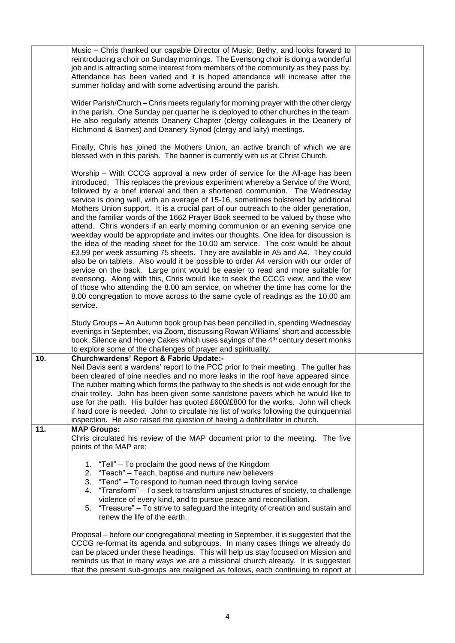|     | Music – Chris thanked our capable Director of Music, Bethy, and looks forward to<br>reintroducing a choir on Sunday mornings. The Evensong choir is doing a wonderful<br>job and is attracting some interest from members of the community as they pass by.<br>Attendance has been varied and it is hoped attendance will increase after the<br>summer holiday and with some advertising around the parish.                                                                                                                                                                                                                                                                                                                                                                                                                                                                                                                                                                                                                                                                                                                                                                                                                                                                                              |  |
|-----|----------------------------------------------------------------------------------------------------------------------------------------------------------------------------------------------------------------------------------------------------------------------------------------------------------------------------------------------------------------------------------------------------------------------------------------------------------------------------------------------------------------------------------------------------------------------------------------------------------------------------------------------------------------------------------------------------------------------------------------------------------------------------------------------------------------------------------------------------------------------------------------------------------------------------------------------------------------------------------------------------------------------------------------------------------------------------------------------------------------------------------------------------------------------------------------------------------------------------------------------------------------------------------------------------------|--|
|     | Wider Parish/Church – Chris meets regularly for morning prayer with the other clergy<br>in the parish. One Sunday per quarter he is deployed to other churches in the team.<br>He also regularly attends Deanery Chapter (clergy colleagues in the Deanery of<br>Richmond & Barnes) and Deanery Synod (clergy and laity) meetings.                                                                                                                                                                                                                                                                                                                                                                                                                                                                                                                                                                                                                                                                                                                                                                                                                                                                                                                                                                       |  |
|     | Finally, Chris has joined the Mothers Union, an active branch of which we are<br>blessed with in this parish. The banner is currently with us at Christ Church.                                                                                                                                                                                                                                                                                                                                                                                                                                                                                                                                                                                                                                                                                                                                                                                                                                                                                                                                                                                                                                                                                                                                          |  |
|     | Worship – With CCCG approval a new order of service for the All-age has been<br>introduced, This replaces the previous experiment whereby a Service of the Word,<br>followed by a brief interval and then a shortened communion. The Wednesday<br>service is doing well, with an average of 15-16, sometimes bolstered by additional<br>Mothers Union support. It is a crucial part of our outreach to the older generation,<br>and the familiar words of the 1662 Prayer Book seemed to be valued by those who<br>attend. Chris wonders if an early morning communion or an evening service one<br>weekday would be appropriate and invites our thoughts. One idea for discussion is<br>the idea of the reading sheet for the 10.00 am service. The cost would be about<br>£3.99 per week assuming 75 sheets. They are available in A5 and A4. They could<br>also be on tablets. Also would it be possible to order A4 version with our order of<br>service on the back. Large print would be easier to read and more suitable for<br>evensong. Along with this, Chris would like to seek the CCCG view, and the view<br>of those who attending the 8.00 am service, on whether the time has come for the<br>8.00 congregation to move across to the same cycle of readings as the 10.00 am<br>service. |  |
|     | Study Groups – An Autumn book group has been pencilled in, spending Wednesday<br>evenings in September, via Zoom, discussing Rowan Williams' short and accessible<br>book, Silence and Honey Cakes which uses sayings of the 4 <sup>th</sup> century desert monks<br>to explore some of the challenges of prayer and spirituality.                                                                                                                                                                                                                                                                                                                                                                                                                                                                                                                                                                                                                                                                                                                                                                                                                                                                                                                                                                       |  |
| 10. | <b>Churchwardens' Report &amp; Fabric Update:-</b><br>Neil Davis sent a wardens' report to the PCC prior to their meeting. The gutter has<br>been cleared of pine needles and no more leaks in the roof have appeared since.<br>The rubber matting which forms the pathway to the sheds is not wide enough for the<br>chair trolley. John has been given some sandstone pavers which he would like to<br>use for the path. His builder has quoted £600/£800 for the works. John will check<br>if hard core is needed. John to circulate his list of works following the quinquennial<br>inspection. He also raised the question of having a defibrillator in church.                                                                                                                                                                                                                                                                                                                                                                                                                                                                                                                                                                                                                                     |  |
| 11. | <b>MAP Groups:</b><br>Chris circulated his review of the MAP document prior to the meeting. The five<br>points of the MAP are:                                                                                                                                                                                                                                                                                                                                                                                                                                                                                                                                                                                                                                                                                                                                                                                                                                                                                                                                                                                                                                                                                                                                                                           |  |
|     | "Tell" – To proclaim the good news of the Kingdom<br>1.<br>"Teach" - Teach, baptise and nurture new believers<br>2.<br>"Tend" – To respond to human need through loving service<br>3.<br>"Transform" – To seek to transform unjust structures of society, to challenge<br>4.<br>violence of every kind, and to pursue peace and reconciliation.<br>5. "Treasure" - To strive to safeguard the integrity of creation and sustain and<br>renew the life of the earth.                                                                                                                                                                                                                                                                                                                                                                                                                                                                                                                                                                                                                                                                                                                                                                                                                                      |  |
|     | Proposal – before our congregational meeting in September, it is suggested that the<br>CCCG re-format its agenda and subgroups. In many cases things we already do<br>can be placed under these headings. This will help us stay focused on Mission and<br>reminds us that in many ways we are a missional church already. It is suggested<br>that the present sub-groups are realigned as follows, each continuing to report at                                                                                                                                                                                                                                                                                                                                                                                                                                                                                                                                                                                                                                                                                                                                                                                                                                                                         |  |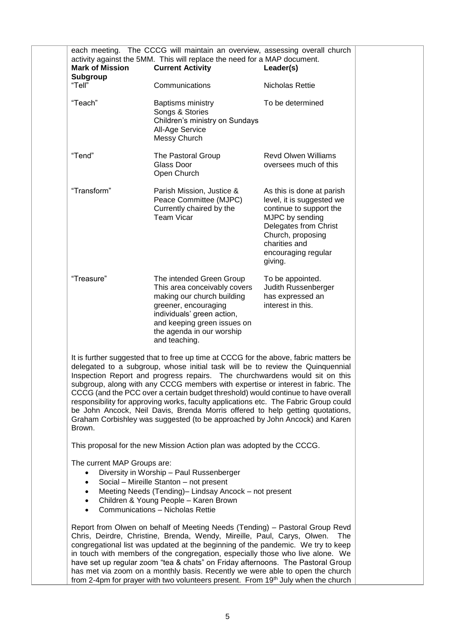| each meeting. The CCCG will maintain an overview, assessing overall church<br>activity against the 5MM. This will replace the need for a MAP document.<br><b>Mark of Mission</b><br><b>Current Activity</b><br>Leader(s)<br>Subgroup                                                                                                                                                                                                                                                                                                                                                                                                                                                             |                                                                                                                                                                                                                                                                                                                                                                                                                                                                                                                                                                                                    |                                                                                                                                                                                                       |  |
|--------------------------------------------------------------------------------------------------------------------------------------------------------------------------------------------------------------------------------------------------------------------------------------------------------------------------------------------------------------------------------------------------------------------------------------------------------------------------------------------------------------------------------------------------------------------------------------------------------------------------------------------------------------------------------------------------|----------------------------------------------------------------------------------------------------------------------------------------------------------------------------------------------------------------------------------------------------------------------------------------------------------------------------------------------------------------------------------------------------------------------------------------------------------------------------------------------------------------------------------------------------------------------------------------------------|-------------------------------------------------------------------------------------------------------------------------------------------------------------------------------------------------------|--|
| "Tell"                                                                                                                                                                                                                                                                                                                                                                                                                                                                                                                                                                                                                                                                                           | Communications                                                                                                                                                                                                                                                                                                                                                                                                                                                                                                                                                                                     | Nicholas Rettie                                                                                                                                                                                       |  |
| "Teach"                                                                                                                                                                                                                                                                                                                                                                                                                                                                                                                                                                                                                                                                                          | Baptisms ministry<br>Songs & Stories<br>Children's ministry on Sundays<br>All-Age Service<br>Messy Church                                                                                                                                                                                                                                                                                                                                                                                                                                                                                          | To be determined                                                                                                                                                                                      |  |
| "Tend"                                                                                                                                                                                                                                                                                                                                                                                                                                                                                                                                                                                                                                                                                           | The Pastoral Group<br>Glass Door<br>Open Church                                                                                                                                                                                                                                                                                                                                                                                                                                                                                                                                                    | <b>Revd Olwen Williams</b><br>oversees much of this                                                                                                                                                   |  |
| "Transform"                                                                                                                                                                                                                                                                                                                                                                                                                                                                                                                                                                                                                                                                                      | Parish Mission, Justice &<br>Peace Committee (MJPC)<br>Currently chaired by the<br><b>Team Vicar</b>                                                                                                                                                                                                                                                                                                                                                                                                                                                                                               | As this is done at parish<br>level, it is suggested we<br>continue to support the<br>MJPC by sending<br>Delegates from Christ<br>Church, proposing<br>charities and<br>encouraging regular<br>giving. |  |
| "Treasure"                                                                                                                                                                                                                                                                                                                                                                                                                                                                                                                                                                                                                                                                                       | The intended Green Group<br>This area conceivably covers<br>making our church building<br>greener, encouraging<br>individuals' green action,<br>and keeping green issues on<br>the agenda in our worship<br>and teaching.                                                                                                                                                                                                                                                                                                                                                                          | To be appointed.<br>Judith Russenberger<br>has expressed an<br>interest in this.                                                                                                                      |  |
| It is further suggested that to free up time at CCCG for the above, fabric matters be<br>delegated to a subgroup, whose initial task will be to review the Quinquennial<br>Inspection Report and progress repairs. The churchwardens would sit on this<br>subgroup, along with any CCCG members with expertise or interest in fabric. The<br>CCCG (and the PCC over a certain budget threshold) would continue to have overall<br>responsibility for approving works, faculty applications etc. The Fabric Group could<br>be John Ancock, Neil Davis, Brenda Morris offered to help getting quotations,<br>Graham Corbishley was suggested (to be approached by John Ancock) and Karen<br>Brown. |                                                                                                                                                                                                                                                                                                                                                                                                                                                                                                                                                                                                    |                                                                                                                                                                                                       |  |
|                                                                                                                                                                                                                                                                                                                                                                                                                                                                                                                                                                                                                                                                                                  | This proposal for the new Mission Action plan was adopted by the CCCG.                                                                                                                                                                                                                                                                                                                                                                                                                                                                                                                             |                                                                                                                                                                                                       |  |
| The current MAP Groups are:<br>٠<br>$\bullet$<br>$\bullet$                                                                                                                                                                                                                                                                                                                                                                                                                                                                                                                                                                                                                                       | Diversity in Worship - Paul Russenberger<br>Social - Mireille Stanton - not present<br>Meeting Needs (Tending)- Lindsay Ancock - not present<br>Children & Young People - Karen Brown<br>Communications - Nicholas Rettie                                                                                                                                                                                                                                                                                                                                                                          |                                                                                                                                                                                                       |  |
|                                                                                                                                                                                                                                                                                                                                                                                                                                                                                                                                                                                                                                                                                                  | Report from Olwen on behalf of Meeting Needs (Tending) - Pastoral Group Revd<br>Chris, Deirdre, Christine, Brenda, Wendy, Mireille, Paul, Carys, Olwen.<br>congregational list was updated at the beginning of the pandemic. We try to keep<br>in touch with members of the congregation, especially those who live alone. We<br>have set up regular zoom "tea & chats" on Friday afternoons. The Pastoral Group<br>has met via zoom on a monthly basis. Recently we were able to open the church<br>from 2-4pm for prayer with two volunteers present. From 19 <sup>th</sup> July when the church | The l                                                                                                                                                                                                 |  |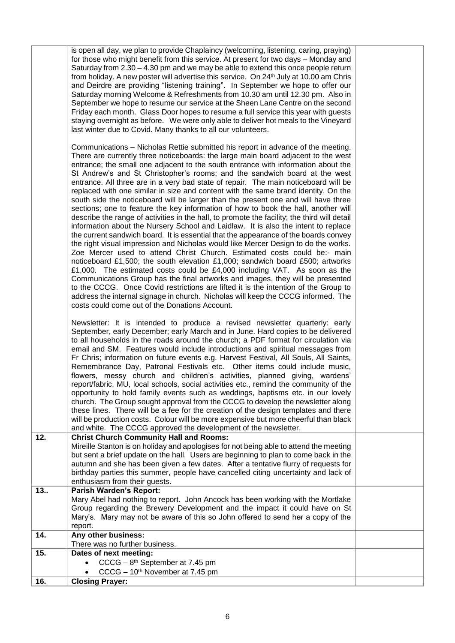|     | is open all day, we plan to provide Chaplaincy (welcoming, listening, caring, praying)<br>for those who might benefit from this service. At present for two days – Monday and<br>Saturday from 2.30 - 4.30 pm and we may be able to extend this once people return<br>from holiday. A new poster will advertise this service. On 24th July at 10.00 am Chris<br>and Deirdre are providing "listening training". In September we hope to offer our<br>Saturday morning Welcome & Refreshments from 10.30 am until 12.30 pm. Also in<br>September we hope to resume our service at the Sheen Lane Centre on the second<br>Friday each month. Glass Door hopes to resume a full service this year with guests<br>staying overnight as before. We were only able to deliver hot meals to the Vineyard<br>last winter due to Covid. Many thanks to all our volunteers.<br>Communications - Nicholas Rettie submitted his report in advance of the meeting.<br>There are currently three noticeboards: the large main board adjacent to the west<br>entrance; the small one adjacent to the south entrance with information about the<br>St Andrew's and St Christopher's rooms; and the sandwich board at the west<br>entrance. All three are in a very bad state of repair. The main noticeboard will be<br>replaced with one similar in size and content with the same brand identity. On the<br>south side the noticeboard will be larger than the present one and will have three<br>sections; one to feature the key information of how to book the hall, another will<br>describe the range of activities in the hall, to promote the facility; the third will detail<br>information about the Nursery School and Laidlaw. It is also the intent to replace<br>the current sandwich board. It is essential that the appearance of the boards convey<br>the right visual impression and Nicholas would like Mercer Design to do the works.<br>Zoe Mercer used to attend Christ Church. Estimated costs could be:- main<br>noticeboard £1,500; the south elevation £1,000; sandwich board £500; artworks<br>£1,000. The estimated costs could be £4,000 including VAT. As soon as the<br>Communications Group has the final artworks and images, they will be presented<br>to the CCCG. Once Covid restrictions are lifted it is the intention of the Group to<br>address the internal signage in church. Nicholas will keep the CCCG informed. The<br>costs could come out of the Donations Account. |  |
|-----|------------------------------------------------------------------------------------------------------------------------------------------------------------------------------------------------------------------------------------------------------------------------------------------------------------------------------------------------------------------------------------------------------------------------------------------------------------------------------------------------------------------------------------------------------------------------------------------------------------------------------------------------------------------------------------------------------------------------------------------------------------------------------------------------------------------------------------------------------------------------------------------------------------------------------------------------------------------------------------------------------------------------------------------------------------------------------------------------------------------------------------------------------------------------------------------------------------------------------------------------------------------------------------------------------------------------------------------------------------------------------------------------------------------------------------------------------------------------------------------------------------------------------------------------------------------------------------------------------------------------------------------------------------------------------------------------------------------------------------------------------------------------------------------------------------------------------------------------------------------------------------------------------------------------------------------------------------------------------------------------------------------------------------------------------------------------------------------------------------------------------------------------------------------------------------------------------------------------------------------------------------------------------------------------------------------------------------------------------------------------------------------------------------------------------------------------------------------------------------------------------|--|
|     | Newsletter: It is intended to produce a revised newsletter quarterly: early<br>September, early December; early March and in June. Hard copies to be delivered<br>to all households in the roads around the church; a PDF format for circulation via<br>email and SM. Features would include introductions and spiritual messages from<br>Fr Chris; information on future events e.g. Harvest Festival, All Souls, All Saints,<br>Remembrance Day, Patronal Festivals etc. Other items could include music,<br>flowers, messy church and children's activities, planned giving, wardens'<br>report/fabric, MU, local schools, social activities etc., remind the community of the<br>opportunity to hold family events such as weddings, baptisms etc. in our lovely<br>church. The Group sought approval from the CCCG to develop the newsletter along<br>these lines. There will be a fee for the creation of the design templates and there<br>will be production costs. Colour will be more expensive but more cheerful than black<br>and white. The CCCG approved the development of the newsletter.                                                                                                                                                                                                                                                                                                                                                                                                                                                                                                                                                                                                                                                                                                                                                                                                                                                                                                                                                                                                                                                                                                                                                                                                                                                                                                                                                                                            |  |
| 12. | <b>Christ Church Community Hall and Rooms:</b><br>Mireille Stanton is on holiday and apologises for not being able to attend the meeting<br>but sent a brief update on the hall. Users are beginning to plan to come back in the<br>autumn and she has been given a few dates. After a tentative flurry of requests for<br>birthday parties this summer, people have cancelled citing uncertainty and lack of<br>enthusiasm from their guests.                                                                                                                                                                                                                                                                                                                                                                                                                                                                                                                                                                                                                                                                                                                                                                                                                                                                                                                                                                                                                                                                                                                                                                                                                                                                                                                                                                                                                                                                                                                                                                                                                                                                                                                                                                                                                                                                                                                                                                                                                                                       |  |
| 13  | <b>Parish Warden's Report:</b>                                                                                                                                                                                                                                                                                                                                                                                                                                                                                                                                                                                                                                                                                                                                                                                                                                                                                                                                                                                                                                                                                                                                                                                                                                                                                                                                                                                                                                                                                                                                                                                                                                                                                                                                                                                                                                                                                                                                                                                                                                                                                                                                                                                                                                                                                                                                                                                                                                                                       |  |
|     | Mary Abel had nothing to report. John Ancock has been working with the Mortlake<br>Group regarding the Brewery Development and the impact it could have on St<br>Mary's. Mary may not be aware of this so John offered to send her a copy of the<br>report.                                                                                                                                                                                                                                                                                                                                                                                                                                                                                                                                                                                                                                                                                                                                                                                                                                                                                                                                                                                                                                                                                                                                                                                                                                                                                                                                                                                                                                                                                                                                                                                                                                                                                                                                                                                                                                                                                                                                                                                                                                                                                                                                                                                                                                          |  |
| 14. | Any other business:<br>There was no further business.                                                                                                                                                                                                                                                                                                                                                                                                                                                                                                                                                                                                                                                                                                                                                                                                                                                                                                                                                                                                                                                                                                                                                                                                                                                                                                                                                                                                                                                                                                                                                                                                                                                                                                                                                                                                                                                                                                                                                                                                                                                                                                                                                                                                                                                                                                                                                                                                                                                |  |
| 15. | Dates of next meeting:                                                                                                                                                                                                                                                                                                                                                                                                                                                                                                                                                                                                                                                                                                                                                                                                                                                                                                                                                                                                                                                                                                                                                                                                                                                                                                                                                                                                                                                                                                                                                                                                                                                                                                                                                                                                                                                                                                                                                                                                                                                                                                                                                                                                                                                                                                                                                                                                                                                                               |  |
|     | $CCCG - 8th September at 7.45 pm$<br>CCCG - 10 <sup>th</sup> November at 7.45 pm                                                                                                                                                                                                                                                                                                                                                                                                                                                                                                                                                                                                                                                                                                                                                                                                                                                                                                                                                                                                                                                                                                                                                                                                                                                                                                                                                                                                                                                                                                                                                                                                                                                                                                                                                                                                                                                                                                                                                                                                                                                                                                                                                                                                                                                                                                                                                                                                                     |  |
| 16. | <b>Closing Prayer:</b>                                                                                                                                                                                                                                                                                                                                                                                                                                                                                                                                                                                                                                                                                                                                                                                                                                                                                                                                                                                                                                                                                                                                                                                                                                                                                                                                                                                                                                                                                                                                                                                                                                                                                                                                                                                                                                                                                                                                                                                                                                                                                                                                                                                                                                                                                                                                                                                                                                                                               |  |